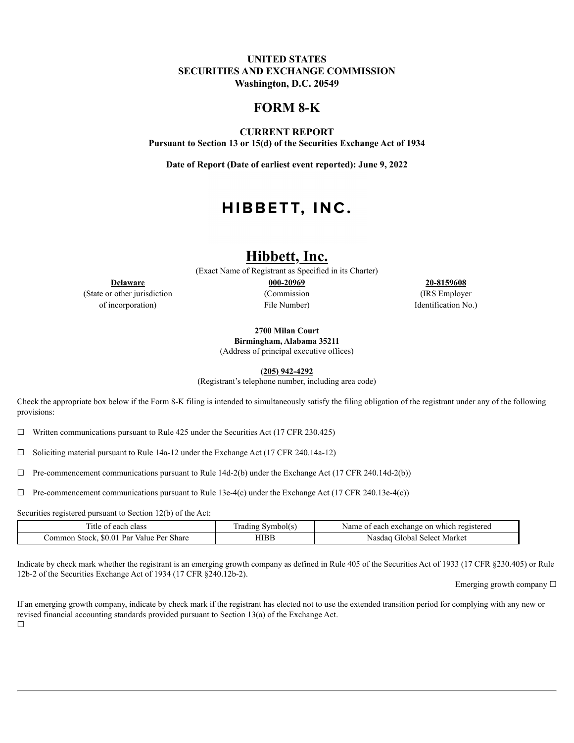## **UNITED STATES SECURITIES AND EXCHANGE COMMISSION Washington, D.C. 20549**

# **FORM 8-K**

**CURRENT REPORT Pursuant to Section 13 or 15(d) of the Securities Exchange Act of 1934**

**Date of Report (Date of earliest event reported): June 9, 2022**

# HIBBETT, INC.

# **Hibbett, Inc.**

(Exact Name of Registrant as Specified in its Charter)

(State or other jurisdiction (Commission (IRS Employer of incorporation) File Number) Identification No.)

**Delaware 000-20969 20-8159608**

**2700 Milan Court**

**Birmingham, Alabama 35211**

(Address of principal executive offices)

**(205) 942-4292**

(Registrant's telephone number, including area code)

Check the appropriate box below if the Form 8-K filing is intended to simultaneously satisfy the filing obligation of the registrant under any of the following provisions:

☐ Written communications pursuant to Rule 425 under the Securities Act (17 CFR 230.425)

☐ Soliciting material pursuant to Rule 14a-12 under the Exchange Act (17 CFR 240.14a-12)

 $\Box$  Pre-commencement communications pursuant to Rule 14d-2(b) under the Exchange Act (17 CFR 240.14d-2(b))

 $\Box$  Pre-commencement communications pursuant to Rule 13e-4(c) under the Exchange Act (17 CFR 240.13e-4(c))

Securities registered pursuant to Section 12(b) of the Act:

| l'itle of each<br>class                                | --<br>Symbol(s<br>radıng | t each exchange on which registered<br>Name of . |
|--------------------------------------------------------|--------------------------|--------------------------------------------------|
| \$0.01<br>. Par<br>Common Stock,<br>Share<br>Value Per | HIBB                     | Market<br>dlobal Select<br>Nasdaq                |

Indicate by check mark whether the registrant is an emerging growth company as defined in Rule 405 of the Securities Act of 1933 (17 CFR §230.405) or Rule 12b-2 of the Securities Exchange Act of 1934 (17 CFR §240.12b-2).

Emerging growth company  $\Box$ 

If an emerging growth company, indicate by check mark if the registrant has elected not to use the extended transition period for complying with any new or revised financial accounting standards provided pursuant to Section 13(a) of the Exchange Act.

☐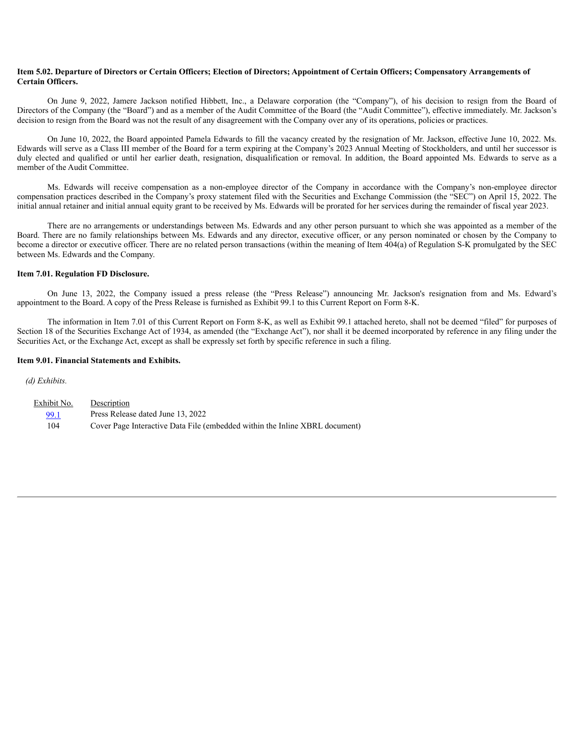#### Item 5.02. Departure of Directors or Certain Officers; Election of Directors; Appointment of Certain Officers; Compensatory Arrangements of **Certain Officers.**

On June 9, 2022, Jamere Jackson notified Hibbett, Inc., a Delaware corporation (the "Company"), of his decision to resign from the Board of Directors of the Company (the "Board") and as a member of the Audit Committee of the Board (the "Audit Committee"), effective immediately. Mr. Jackson's decision to resign from the Board was not the result of any disagreement with the Company over any of its operations, policies or practices.

On June 10, 2022, the Board appointed Pamela Edwards to fill the vacancy created by the resignation of Mr. Jackson, effective June 10, 2022. Ms. Edwards will serve as a Class III member of the Board for a term expiring at the Company's 2023 Annual Meeting of Stockholders, and until her successor is duly elected and qualified or until her earlier death, resignation, disqualification or removal. In addition, the Board appointed Ms. Edwards to serve as a member of the Audit Committee.

Ms. Edwards will receive compensation as a non-employee director of the Company in accordance with the Company's non-employee director compensation practices described in the Company's proxy statement filed with the Securities and Exchange Commission (the "SEC") on April 15, 2022. The initial annual retainer and initial annual equity grant to be received by Ms. Edwards will be prorated for her services during the remainder of fiscal year 2023.

There are no arrangements or understandings between Ms. Edwards and any other person pursuant to which she was appointed as a member of the Board. There are no family relationships between Ms. Edwards and any director, executive officer, or any person nominated or chosen by the Company to become a director or executive officer. There are no related person transactions (within the meaning of Item 404(a) of Regulation S-K promulgated by the SEC between Ms. Edwards and the Company.

#### **Item 7.01. Regulation FD Disclosure.**

On June 13, 2022, the Company issued a press release (the "Press Release") announcing Mr. Jackson's resignation from and Ms. Edward's appointment to the Board. A copy of the Press Release is furnished as Exhibit 99.1 to this Current Report on Form 8-K.

The information in Item 7.01 of this Current Report on Form 8-K, as well as Exhibit 99.1 attached hereto, shall not be deemed "filed" for purposes of Section 18 of the Securities Exchange Act of 1934, as amended (the "Exchange Act"), nor shall it be deemed incorporated by reference in any filing under the Securities Act, or the Exchange Act, except as shall be expressly set forth by specific reference in such a filing.

#### **Item 9.01. Financial Statements and Exhibits.**

*(d) Exhibits.*

| Exhibit No. | Description                                                                 |
|-------------|-----------------------------------------------------------------------------|
| 99.1        | Press Release dated June 13, 2022                                           |
| 104         | Cover Page Interactive Data File (embedded within the Inline XBRL document) |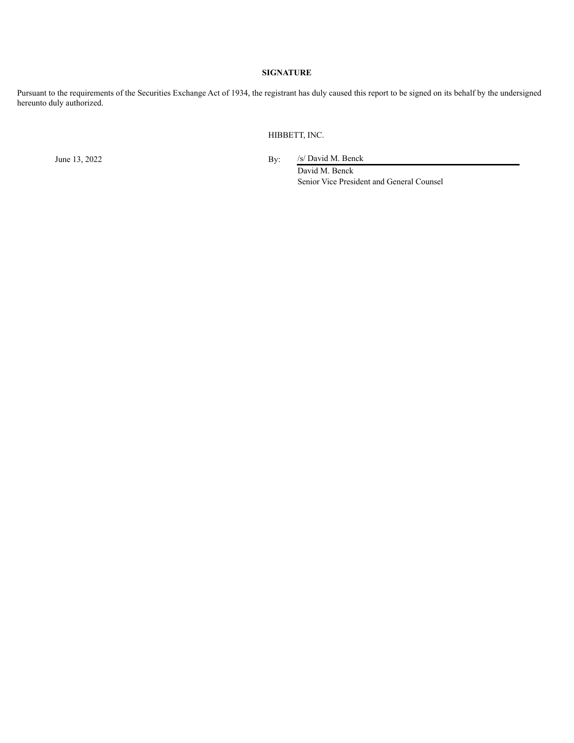## **SIGNATURE**

Pursuant to the requirements of the Securities Exchange Act of 1934, the registrant has duly caused this report to be signed on its behalf by the undersigned hereunto duly authorized.

HIBBETT, INC.

June 13, 2022 By: /s/ David M. Benck

David M. Benck Senior Vice President and General Counsel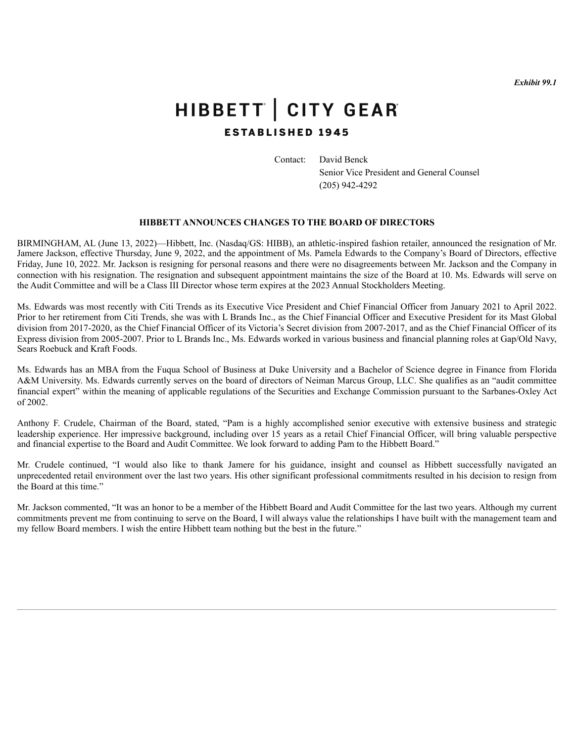*Exhibit 99.1*

# <span id="page-3-0"></span>HIBBETT | CITY GEAR **ESTABLISHED 1945**

Contact: David Benck

Senior Vice President and General Counsel (205) 942-4292

# **HIBBETT ANNOUNCES CHANGES TO THE BOARD OF DIRECTORS**

BIRMINGHAM, AL (June 13, 2022)—Hibbett, Inc. (Nasdaq/GS: HIBB), an athletic-inspired fashion retailer, announced the resignation of Mr. Jamere Jackson, effective Thursday, June 9, 2022, and the appointment of Ms. Pamela Edwards to the Company's Board of Directors, effective Friday, June 10, 2022. Mr. Jackson is resigning for personal reasons and there were no disagreements between Mr. Jackson and the Company in connection with his resignation. The resignation and subsequent appointment maintains the size of the Board at 10. Ms. Edwards will serve on the Audit Committee and will be a Class III Director whose term expires at the 2023 Annual Stockholders Meeting.

Ms. Edwards was most recently with Citi Trends as its Executive Vice President and Chief Financial Officer from January 2021 to April 2022. Prior to her retirement from Citi Trends, she was with L Brands Inc., as the Chief Financial Officer and Executive President for its Mast Global division from 2017-2020, as the Chief Financial Officer of its Victoria's Secret division from 2007-2017, and as the Chief Financial Officer of its Express division from 2005-2007. Prior to L Brands Inc., Ms. Edwards worked in various business and financial planning roles at Gap/Old Navy, Sears Roebuck and Kraft Foods.

Ms. Edwards has an MBA from the Fuqua School of Business at Duke University and a Bachelor of Science degree in Finance from Florida A&M University. Ms. Edwards currently serves on the board of directors of Neiman Marcus Group, LLC. She qualifies as an "audit committee financial expert" within the meaning of applicable regulations of the Securities and Exchange Commission pursuant to the Sarbanes-Oxley Act of 2002.

Anthony F. Crudele, Chairman of the Board, stated, "Pam is a highly accomplished senior executive with extensive business and strategic leadership experience. Her impressive background, including over 15 years as a retail Chief Financial Officer, will bring valuable perspective and financial expertise to the Board and Audit Committee. We look forward to adding Pam to the Hibbett Board."

Mr. Crudele continued, "I would also like to thank Jamere for his guidance, insight and counsel as Hibbett successfully navigated an unprecedented retail environment over the last two years. His other significant professional commitments resulted in his decision to resign from the Board at this time."

Mr. Jackson commented, "It was an honor to be a member of the Hibbett Board and Audit Committee for the last two years. Although my current commitments prevent me from continuing to serve on the Board, I will always value the relationships I have built with the management team and my fellow Board members. I wish the entire Hibbett team nothing but the best in the future."